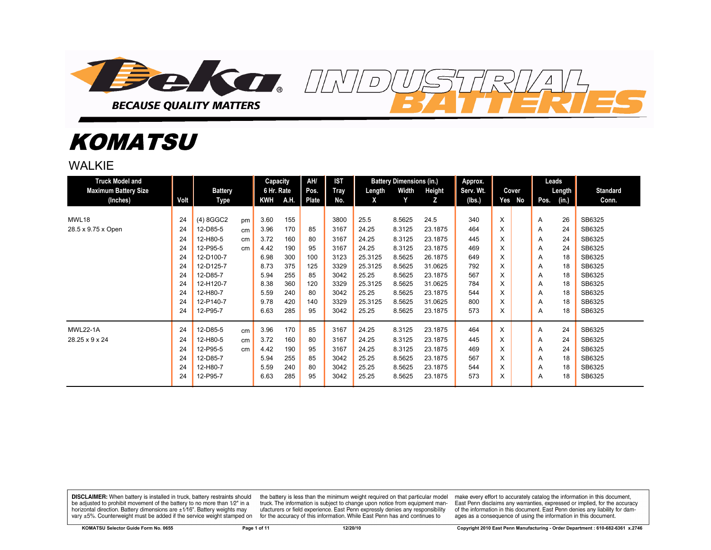

# *KOMATSU*

WAI KIF

| <b>Truck Model and</b>      |      |                |    | Capacity   |      | AH/   | IST         |         | <b>Battery Dimensions (in.)</b> |         | Approx.   |     |       |      | Leads          |                 |
|-----------------------------|------|----------------|----|------------|------|-------|-------------|---------|---------------------------------|---------|-----------|-----|-------|------|----------------|-----------------|
| <b>Maximum Battery Size</b> |      | <b>Battery</b> |    | 6 Hr. Rate |      | Pos.  | <b>Tray</b> | Length  | Width                           | Height  | Serv. Wt. |     | Cover |      | Length $\vert$ | <b>Standard</b> |
| (Inches)                    | Volt | Type           |    | <b>KWH</b> | A.H. | Plate | No.         | X       | Y                               | z       | (lbs.)    | Yes | No    | Pos. | (in.)          | Conn.           |
|                             |      |                |    |            |      |       |             |         |                                 |         |           |     |       |      |                |                 |
| MWL18                       | 24   | (4) 8GGC2      | pm | 3.60       | 155  |       | 3800        | 25.5    | 8.5625                          | 24.5    | 340       | X   |       | A    | 26             | SB6325          |
| 28.5 x 9.75 x Open          | 24   | 12-D85-5       | cm | 3.96       | 170  | 85    | 3167        | 24.25   | 8.3125                          | 23.1875 | 464       | X   |       | A    | 24             | SB6325          |
|                             | 24   | 12-H80-5       | cm | 3.72       | 160  | 80    | 3167        | 24.25   | 8.3125                          | 23.1875 | 445       | X   |       | A    | 24             | SB6325          |
|                             | 24   | 12-P95-5       | cm | 4.42       | 190  | 95    | 3167        | 24.25   | 8.3125                          | 23.1875 | 469       | X   |       | A    | 24             | SB6325          |
|                             | 24   | 12-D100-7      |    | 6.98       | 300  | 100   | 3123        | 25.3125 | 8.5625                          | 26.1875 | 649       | X   |       | A    | 18             | SB6325          |
|                             | 24   | 12-D125-7      |    | 8.73       | 375  | 125   | 3329        | 25.3125 | 8.5625                          | 31.0625 | 792       | X   |       | A    | 18             | SB6325          |
|                             | 24   | 12-D85-7       |    | 5.94       | 255  | 85    | 3042        | 25.25   | 8.5625                          | 23.1875 | 567       | X   |       | A    | 18             | SB6325          |
|                             | 24   | 12-H120-7      |    | 8.38       | 360  | 120   | 3329        | 25.3125 | 8.5625                          | 31.0625 | 784       | X   |       | A    | 18             | SB6325          |
|                             | 24   | 12-H80-7       |    | 5.59       | 240  | 80    | 3042        | 25.25   | 8.5625                          | 23.1875 | 544       | X   |       | A    | 18             | SB6325          |
|                             | 24   | 12-P140-7      |    | 9.78       | 420  | 140   | 3329        | 25.3125 | 8.5625                          | 31.0625 | 800       | X   |       | A    | 18             | SB6325          |
|                             | 24   | 12-P95-7       |    | 6.63       | 285  | 95    | 3042        | 25.25   | 8.5625                          | 23.1875 | 573       | X   |       | A    | 18             | SB6325          |
| <b>MWL22-1A</b>             | 24   | 12-D85-5       | cm | 3.96       | 170  | 85    | 3167        | 24.25   | 8.3125                          | 23.1875 | 464       | X   |       | A    | 24             | SB6325          |
| 28.25 x 9 x 24              | 24   | 12-H80-5       | cm | 3.72       | 160  | 80    | 3167        | 24.25   | 8.3125                          | 23.1875 | 445       | X   |       | A    | 24             | SB6325          |
|                             | 24   | 12-P95-5       | cm | 4.42       | 190  | 95    | 3167        | 24.25   | 8.3125                          | 23.1875 | 469       | X   |       | A    | 24             | SB6325          |
|                             | 24   | 12-D85-7       |    | 5.94       | 255  | 85    | 3042        | 25.25   | 8.5625                          | 23.1875 | 567       | X   |       | A    | 18             | SB6325          |
|                             | 24   | 12-H80-7       |    | 5.59       | 240  | 80    | 3042        | 25.25   | 8.5625                          | 23.1875 | 544       | X   |       | A    | 18             | SB6325          |
|                             | 24   | 12-P95-7       |    | 6.63       | 285  | 95    | 3042        | 25.25   | 8.5625                          | 23.1875 | 573       | X   |       | A    | 18             | SB6325          |

 $\overline{D}$ 

**DISCLAIMER:** When battery is installed in truck, battery restraints should be adjusted to prohibit movement of the battery to no more than 1/2" in a horizontal direction. Battery dimensions are  $\pm 1/16$ ". Battery weights may vary ±5%. Counterweight must be added if the service weight stamped on

the battery is less than the minimum weight required on that particular model<br>truck. The information is subject to change upon notice from equipment manufacturers or field experience. East Penn expressly denies any responsibility for the accuracy of this information. While East Penn has and continues to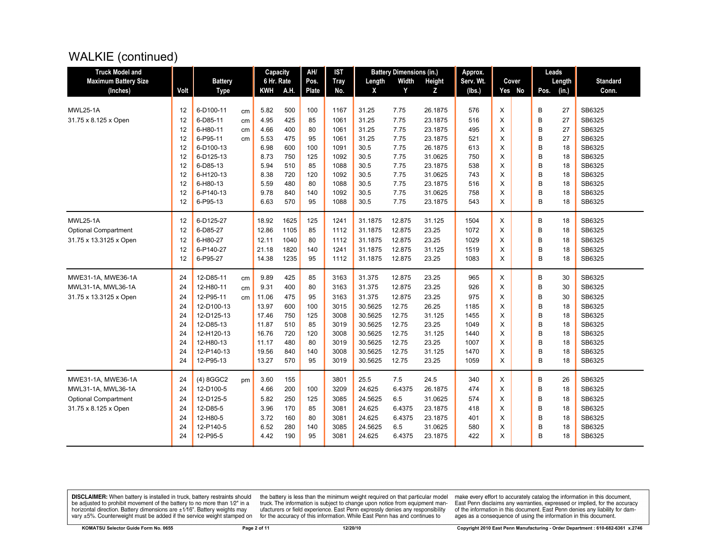# WALKIE (continued)

| <b>Truck Model and</b>      |          |                         |    | Capacity       |            | AH/       | <b>IST</b>   |                    | <b>Battery Dimensions (in.)</b> |                 | Approx.      |           |        | Leads    |                  |
|-----------------------------|----------|-------------------------|----|----------------|------------|-----------|--------------|--------------------|---------------------------------|-----------------|--------------|-----------|--------|----------|------------------|
| <b>Maximum Battery Size</b> |          | <b>Battery</b>          |    | 6 Hr. Rate     |            | Pos.      | <b>Tray</b>  | Length             | Width                           | <b>Height</b>   | Serv. Wt.    | Cover     |        | Length   | <b>Standard</b>  |
| (Inches)                    | Volt     | <b>Type</b>             |    | <b>KWH</b>     | A.H.       | Plate     | No.          | X                  | Y                               | z               | (lbs.)       | No<br>Yes | Pos.   | (in.)    | Conn.            |
|                             |          |                         |    |                |            |           |              |                    |                                 |                 |              |           |        |          |                  |
| <b>MWL25-1A</b>             | 12       | 6-D100-11               | cm | 5.82           | 500        | 100       | 1167         | 31.25              | 7.75                            | 26.1875         | 576          | X         | B      | 27       | SB6325           |
| 31.75 x 8.125 x Open        | 12       | 6-D85-11                | cm | 4.95           | 425        | 85        | 1061         | 31.25              | 7.75                            | 23.1875         | 516          | X         | B      | 27       | SB6325           |
|                             | 12       | 6-H80-11                | cm | 4.66           | 400        | 80        | 1061         | 31.25              | 7.75                            | 23.1875         | 495          | X         | B      | 27       | SB6325           |
|                             | 12       | 6-P95-11                | cm | 5.53           | 475        | 95        | 1061         | 31.25              | 7.75                            | 23.1875         | 521          | X         | B      | 27       | SB6325           |
|                             | 12       | 6-D100-13               |    | 6.98           | 600        | 100       | 1091         | 30.5               | 7.75                            | 26.1875         | 613          | X         | B      | 18       | SB6325           |
|                             | 12       | 6-D125-13               |    | 8.73           | 750        | 125       | 1092         | 30.5               | 7.75                            | 31.0625         | 750          | X         | B      | 18       | SB6325           |
|                             | 12       | 6-D85-13                |    | 5.94           | 510        | 85        | 1088         | 30.5               | 7.75                            | 23.1875         | 538          | X         | B      | 18       | SB6325           |
|                             | 12       | 6-H120-13               |    | 8.38           | 720        | 120       | 1092         | 30.5               | 7.75                            | 31.0625         | 743          | X         | B      | 18       | SB6325           |
|                             | 12       | 6-H80-13                |    | 5.59           | 480        | 80        | 1088         | 30.5               | 7.75                            | 23.1875         | 516          | X         | B      | 18       | SB6325           |
|                             | 12       | 6-P140-13               |    | 9.78           | 840        | 140       | 1092         | 30.5               | 7.75                            | 31.0625         | 758          | X         | B      | 18       | SB6325           |
|                             | 12       | 6-P95-13                |    | 6.63           | 570        | 95        | 1088         | 30.5               | 7.75                            | 23.1875         | 543          | X         | B      | 18       | SB6325           |
| <b>MWL25-1A</b>             | 12       | 6-D125-27               |    | 18.92          | 1625       | 125       | 1241         | 31.1875            | 12.875                          | 31.125          | 1504         | X         | B      | 18       | SB6325           |
| <b>Optional Compartment</b> | 12       | 6-D85-27                |    | 12.86          | 1105       | 85        | 1112         | 31.1875            | 12.875                          | 23.25           | 1072         | X         | B      | 18       | SB6325           |
| 31.75 x 13.3125 x Open      | 12       | 6-H80-27                |    | 12.11          | 1040       | 80        | 1112         | 31.1875            | 12.875                          | 23.25           | 1029         | X         | B      | 18       | SB6325           |
|                             | 12       | 6-P140-27               |    | 21.18          | 1820       | 140       | 1241         | 31.1875            | 12.875                          | 31.125          | 1519         | X         | B      | 18       | SB6325           |
|                             | 12       | 6-P95-27                |    | 14.38          | 1235       | 95        | 1112         | 31.1875            | 12.875                          | 23.25           | 1083         | X         | B      | 18       | SB6325           |
| MWE31-1A, MWE36-1A          | 24       | 12-D85-11               |    | 9.89           | 425        | 85        | 3163         | 31.375             | 12.875                          | 23.25           | 965          | X         | B      | 30       | SB6325           |
|                             | 24       | 12-H80-11               | cm | 9.31           | 400        |           |              | 31.375             | 12.875                          | 23.25           | 926          | X         | B      |          | SB6325           |
| MWL31-1A, MWL36-1A          |          |                         | cm |                |            | 80        | 3163         |                    |                                 |                 |              |           |        | 30       | SB6325           |
| 31.75 x 13.3125 x Open      | 24       | 12-P95-11               | cm | 11.06          | 475        | 95        | 3163         | 31.375             | 12.875                          | 23.25           | 975          | X         | B      | 30       |                  |
|                             | 24       | 12-D100-13              |    | 13.97          | 600<br>750 | 100       | 3015         | 30.5625            | 12.75<br>12.75                  | 26.25           | 1185         | X         | B      | 18       | SB6325<br>SB6325 |
|                             | 24       | 12-D125-13<br>12-D85-13 |    | 17.46<br>11.87 | 510        | 125<br>85 | 3008<br>3019 | 30.5625<br>30.5625 | 12.75                           | 31.125          | 1455         | X         | B<br>B | 18<br>18 | SB6325           |
|                             | 24<br>24 | 12-H120-13              |    | 16.76          | 720        | 120       | 3008         | 30.5625            | 12.75                           | 23.25<br>31.125 | 1049<br>1440 | X<br>X    | B      | 18       | SB6325           |
|                             | 24       | 12-H80-13               |    | 11.17          | 480        | 80        | 3019         | 30.5625            | 12.75                           | 23.25           | 1007         | X         | B      | 18       | SB6325           |
|                             | 24       | 12-P140-13              |    | 19.56          | 840        | 140       | 3008         | 30.5625            | 12.75                           | 31.125          | 1470         | X         | B      | 18       | SB6325           |
|                             | 24       | 12-P95-13               |    | 13.27          | 570        | 95        | 3019         | 30.5625            | 12.75                           | 23.25           | 1059         | X         | B      | 18       | SB6325           |
|                             |          |                         |    |                |            |           |              |                    |                                 |                 |              |           |        |          |                  |
| MWE31-1A, MWE36-1A          | 24       | (4) 8GGC2               | pm | 3.60           | 155        |           | 3801         | 25.5               | 7.5                             | 24.5            | 340          | X         | B      | 26       | SB6325           |
| MWL31-1A, MWL36-1A          | 24       | 12-D100-5               |    | 4.66           | 200        | 100       | 3209         | 24.625             | 6.4375                          | 26.1875         | 474          | X         | B      | 18       | SB6325           |
| <b>Optional Compartment</b> | 24       | 12-D125-5               |    | 5.82           | 250        | 125       | 3085         | 24.5625            | 6.5                             | 31.0625         | 574          | X         | B      | 18       | SB6325           |
| 31.75 x 8.125 x Open        | 24       | 12-D85-5                |    | 3.96           | 170        | 85        | 3081         | 24.625             | 6.4375                          | 23.1875         | 418          | X         | B      | 18       | SB6325           |
|                             | 24       | 12-H80-5                |    | 3.72           | 160        | 80        | 3081         | 24.625             | 6.4375                          | 23.1875         | 401          | X         | B      | 18       | SB6325           |
|                             | 24       | 12-P140-5               |    | 6.52           | 280        | 140       | 3085         | 24.5625            | 6.5                             | 31.0625         | 580          | X         | B      | 18       | SB6325           |
|                             | 24       | 12-P95-5                |    | 4.42           | 190        | 95        | 3081         | 24.625             | 6.4375                          | 23.1875         | 422          | X         | B      | 18       | SB6325           |
|                             |          |                         |    |                |            |           |              |                    |                                 |                 |              |           |        |          |                  |

**DISCLAIMER:** When battery is installed in truck, battery restraints should be adjusted to prohibit movement of the battery to no more than  $12^v$  in a horizontal direction. Battery dimensions are  $\pm 1/16^v$ . Battery wei

the battery is less than the minimum weight required on that particular model<br>truck. The information is subject to change upon notice from equipment man-<br>ufacturers or field experience. East Penn expressly denies any respo for the accuracy of this information. While East Penn has and continues to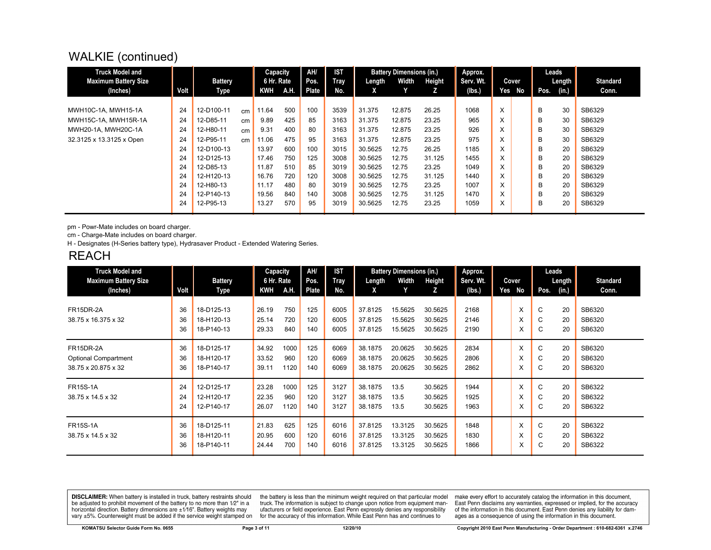# WALKIE (continued)

| <b>Truck Model and</b><br><b>Maximum Battery Size</b><br>(Inches) | Volt | <b>Battery</b><br>Type |    | Capacity<br>6 Hr. Rate<br>KWH | A.H. | AH/<br>Pos.<br>Plate | <b>IST</b><br>Tray<br>No. | Length<br>X | <b>Battery Dimensions (in.)</b><br>Width<br>Y | Height<br>z | Approx.<br>Serv. Wt.<br>(lbs.) | Cover<br>Yes | No | Pos. | Leads<br>Length<br>(in.) | <b>Standard</b><br>Conn. |
|-------------------------------------------------------------------|------|------------------------|----|-------------------------------|------|----------------------|---------------------------|-------------|-----------------------------------------------|-------------|--------------------------------|--------------|----|------|--------------------------|--------------------------|
|                                                                   |      |                        |    |                               |      |                      |                           |             |                                               |             |                                |              |    |      |                          |                          |
| MWH10C-1A, MWH15-1A                                               | 24   | 12-D100-11             | cm | 11.64                         | 500  | 100                  | 3539                      | 31.375      | 12.875                                        | 26.25       | 1068                           | X            |    | B    | 30                       | SB6329                   |
| MWH15C-1A, MWH15R-1A                                              | 24   | 12-D85-11              | cm | 9.89                          | 425  | 85                   | 3163                      | 31.375      | 12.875                                        | 23.25       | 965                            | X            |    | B    | 30                       | SB6329                   |
| MWH20-1A, MWH20C-1A                                               | 24   | 12-H80-11              | cm | 9.31                          | 400  | 80                   | 3163                      | 31.375      | 12.875                                        | 23.25       | 926                            | X            |    | B    | 30                       | SB6329                   |
| 32.3125 x 13.3125 x Open                                          | 24   | 12-P95-11              | cm | 11.06                         | 475  | 95                   | 3163                      | 31.375      | 12.875                                        | 23.25       | 975                            | X            |    | B    | 30                       | SB6329                   |
|                                                                   | 24   | 12-D100-13             |    | 13.97                         | 600  | 100                  | 3015                      | 30.5625     | 12.75                                         | 26.25       | 1185                           | X            |    | В    | 20                       | SB6329                   |
|                                                                   | 24   | 12-D125-13             |    | 17.46                         | 750  | 125                  | 3008                      | 30.5625     | 12.75                                         | 31.125      | 1455                           | X            |    | B    | 20                       | SB6329                   |
|                                                                   | 24   | 12-D85-13              |    | 11.87                         | 510  | 85                   | 3019                      | 30.5625     | 12.75                                         | 23.25       | 1049                           | X            |    | B    | 20                       | SB6329                   |
|                                                                   | 24   | 12-H120-13             |    | 16.76                         | 720  | 120                  | 3008                      | 30.5625     | 12.75                                         | 31.125      | 1440                           | X            |    | B    | 20                       | SB6329                   |
|                                                                   | 24   | 12-H80-13              |    | 11.17                         | 480  | 80                   | 3019                      | 30.5625     | 12.75                                         | 23.25       | 1007                           | X            |    | B    | 20                       | SB6329                   |
|                                                                   | 24   | 12-P140-13             |    | 19.56                         | 840  | 140                  | 3008                      | 30.5625     | 12.75                                         | 31.125      | 1470                           | X            |    | B    | 20                       | SB6329                   |
|                                                                   | 24   | 12-P95-13              |    | 13.27                         | 570  | 95                   | 3019                      | 30.5625     | 12.75                                         | 23.25       | 1059                           | X            |    | В    | 20                       | SB6329                   |

pm - Powr-Mate includes on board charger.

cm - Charge-Mate includes on board charger.

H - Designates (H-Series battery type), Hydrasaver Product - Extended Watering Series.

#### **REACH**

| <b>Truck Model and</b><br><b>Maximum Battery Size</b>           |                        | <b>Battery</b>                                 | Capacity<br>6 Hr. Rate                |                           | AH/<br>Pos.                | <b>IST</b><br>Tray<br>No. | Length                              | <b>Battery Dimensions (in.)</b><br>Width | Height                             | Approx.<br>Serv. Wt.           | Yes | Cover<br>No |                     | Leads<br>Length         | <b>Standard</b><br>Conn.   |
|-----------------------------------------------------------------|------------------------|------------------------------------------------|---------------------------------------|---------------------------|----------------------------|---------------------------|-------------------------------------|------------------------------------------|------------------------------------|--------------------------------|-----|-------------|---------------------|-------------------------|----------------------------|
| (Inches)<br>FR15DR-2A<br>38.75 x 16.375 x 32                    | Volt<br>36<br>36<br>36 | Type<br>18-D125-13<br>18-H120-13<br>18-P140-13 | <b>KWH</b><br>26.19<br>25.14<br>29.33 | A.H.<br>750<br>720<br>840 | Plate<br>125<br>120<br>140 | 6005<br>6005<br>6005      | X.<br>37.8125<br>37.8125<br>37.8125 | 15.5625<br>15.5625<br>15.5625            | z<br>30.5625<br>30.5625<br>30.5625 | (Ibs.)<br>2168<br>2146<br>2190 |     | X<br>X<br>X | Pos.<br>C<br>C<br>C | (in.)<br>20<br>20<br>20 | SB6320<br>SB6320<br>SB6320 |
| FR15DR-2A<br><b>Optional Compartment</b><br>38.75 x 20.875 x 32 | 36<br>36<br>36         | 18-D125-17<br>18-H120-17<br>18-P140-17         | 34.92<br>33.52<br>39.11               | 1000<br>960<br>1120       | 125<br>120<br>140          | 6069<br>6069<br>6069      | 38.1875<br>38.1875<br>38.1875       | 20.0625<br>20.0625<br>20.0625            | 30.5625<br>30.5625<br>30.5625      | 2834<br>2806<br>2862           |     | X<br>X<br>X | C<br>C<br>C         | 20<br>20<br>20          | SB6320<br>SB6320<br>SB6320 |
| <b>FR15S-1A</b><br>38.75 x 14.5 x 32                            | 24<br>24<br>24         | 12-D125-17<br>12-H120-17<br>12-P140-17         | 23.28<br>22.35<br>26.07               | 1000<br>960<br>1120       | 125<br>120<br>140          | 3127<br>3127<br>3127      | 38.1875<br>38.1875<br>38.1875       | 13.5<br>13.5<br>13.5                     | 30.5625<br>30.5625<br>30.5625      | 1944<br>1925<br>1963           |     | X<br>X<br>X | C<br>C<br>С         | 20<br>20<br>20          | SB6322<br>SB6322<br>SB6322 |
| <b>FR15S-1A</b><br>38.75 x 14.5 x 32                            | 36<br>36<br>36         | 18-D125-11<br>18-H120-11<br>18-P140-11         | 21.83<br>20.95<br>24.44               | 625<br>600<br>700         | 125<br>120<br>140          | 6016<br>6016<br>6016      | 37.8125<br>37.8125<br>37.8125       | 13.3125<br>13.3125<br>13.3125            | 30.5625<br>30.5625<br>30.5625      | 1848<br>1830<br>1866           |     | X<br>X<br>X | C<br>C<br>C         | 20<br>20<br>20          | SB6322<br>SB6322<br>SB6322 |

**DISCLAIMER:** When battery is installed in truck, battery restraints should be adjusted to prohibit movement of the battery to no more than 1/2" in a be added in the behavior of the behavior of the behavior of the behavior of the behavior of the behavior of the behavior of the behavior of the service weight sharped on vary  $\pm$ 5%. Counterweight must be added if the ser

the battery is less than the minimum weight required on that particular model<br>truck. The information is subject to change upon notice from equipment manutacturers or field experience. East Penn expressly denies any responsibility for the accuracy of this information. While East Penn has and continues to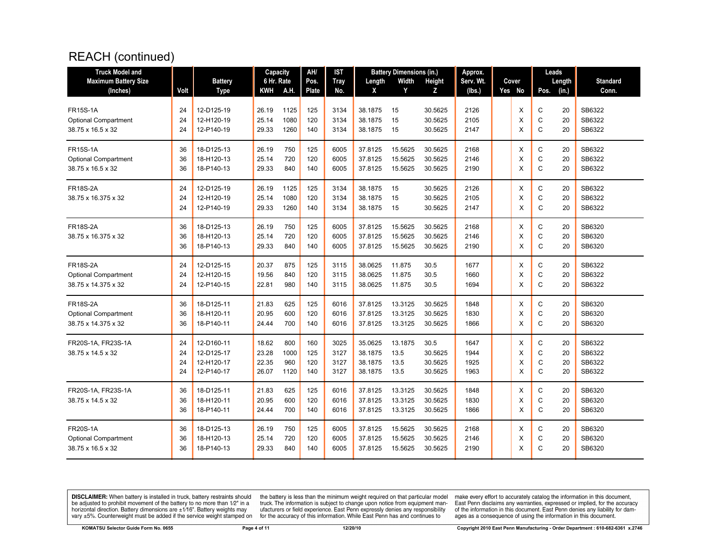# REACH (continued)

| <b>Truck Model and</b>                                                |                      |                                                      | Capacity                         |                            | AH/                      | IST                          |                                          | <b>Battery Dimensions (in.)</b> |                                       | Approx.                      |                  | Leads                 |                      |                                      |
|-----------------------------------------------------------------------|----------------------|------------------------------------------------------|----------------------------------|----------------------------|--------------------------|------------------------------|------------------------------------------|---------------------------------|---------------------------------------|------------------------------|------------------|-----------------------|----------------------|--------------------------------------|
| <b>Maximum Battery Size</b>                                           |                      | <b>Battery</b>                                       | 6 Hr. Rate                       |                            | Pos.                     | <b>Tray</b>                  | Length                                   | Width                           | Height                                | Serv. Wt.                    | Cover            |                       | Length               | <b>Standard</b>                      |
| (Inches)                                                              | Volt                 | <b>Type</b>                                          | <b>KWH</b>                       | A.H.                       | <b>Plate</b>             | No.                          | X                                        | Y                               | z                                     | (lbs.)                       | Yes No           | Pos.                  | (in.)                | Conn.                                |
| <b>FR15S-1A</b><br><b>Optional Compartment</b><br>38.75 x 16.5 x 32   | 24<br>24<br>24       | 12-D125-19<br>12-H120-19<br>12-P140-19               | 26.19<br>25.14<br>29.33          | 1125<br>1080<br>1260       | 125<br>120<br>140        | 3134<br>3134<br>3134         | 38.1875<br>38.1875<br>38.1875            | 15<br>15<br>15                  | 30.5625<br>30.5625<br>30.5625         | 2126<br>2105<br>2147         | X<br>X<br>X      | С<br>C<br>C           | 20<br>20<br>20       | SB6322<br>SB6322<br>SB6322           |
| <b>FR15S-1A</b><br><b>Optional Compartment</b><br>38.75 x 16.5 x 32   | 36<br>36<br>36       | 18-D125-13<br>18-H120-13<br>18-P140-13               | 26.19<br>25.14<br>29.33          | 750<br>720<br>840          | 125<br>120<br>140        | 6005<br>6005<br>6005         | 37.8125<br>37.8125<br>37.8125            | 15.5625<br>15.5625<br>15.5625   | 30.5625<br>30.5625<br>30.5625         | 2168<br>2146<br>2190         | X<br>X<br>X      | С<br>C<br>C           | 20<br>20<br>20       | SB6322<br>SB6322<br>SB6322           |
| <b>FR18S-2A</b><br>38.75 x 16.375 x 32                                | 24<br>24<br>24       | 12-D125-19<br>12-H120-19<br>12-P140-19               | 26.19<br>25.14<br>29.33          | 1125<br>1080<br>1260       | 125<br>120<br>140        | 3134<br>3134<br>3134         | 38.1875<br>38.1875<br>38.1875            | 15<br>15<br>15                  | 30.5625<br>30.5625<br>30.5625         | 2126<br>2105<br>2147         | X<br>X<br>X      | C<br>C<br>C           | 20<br>20<br>20       | SB6322<br>SB6322<br>SB6322           |
| <b>FR18S-2A</b><br>38.75 x 16.375 x 32                                | 36<br>36<br>36       | 18-D125-13<br>18-H120-13<br>18-P140-13               | 26.19<br>25.14<br>29.33          | 750<br>720<br>840          | 125<br>120<br>140        | 6005<br>6005<br>6005         | 37.8125<br>37.8125<br>37.8125            | 15.5625<br>15.5625<br>15.5625   | 30.5625<br>30.5625<br>30.5625         | 2168<br>2146<br>2190         | X<br>X<br>X      | C<br>C<br>$\mathsf C$ | 20<br>20<br>20       | SB6320<br>SB6320<br>SB6320           |
| <b>FR18S-2A</b><br><b>Optional Compartment</b><br>38.75 x 14.375 x 32 | 24<br>24<br>24       | 12-D125-15<br>12-H120-15<br>12-P140-15               | 20.37<br>19.56<br>22.81          | 875<br>840<br>980          | 125<br>120<br>140        | 3115<br>3115<br>3115         | 38.0625<br>38.0625<br>38.0625            | 11.875<br>11.875<br>11.875      | 30.5<br>30.5<br>30.5                  | 1677<br>1660<br>1694         | X<br>X<br>X      | С<br>C<br>C           | 20<br>20<br>20       | SB6322<br>SB6322<br>SB6322           |
| <b>FR18S-2A</b><br><b>Optional Compartment</b><br>38.75 x 14.375 x 32 | 36<br>36<br>36       | 18-D125-11<br>18-H120-11<br>18-P140-11               | 21.83<br>20.95<br>24.44          | 625<br>600<br>700          | 125<br>120<br>140        | 6016<br>6016<br>6016         | 37.8125<br>37.8125<br>37.8125            | 13.3125<br>13.3125<br>13.3125   | 30.5625<br>30.5625<br>30.5625         | 1848<br>1830<br>1866         | X<br>X<br>X      | C<br>C<br>C           | 20<br>20<br>20       | SB6320<br>SB6320<br>SB6320           |
| FR20S-1A, FR23S-1A<br>38.75 x 14.5 x 32                               | 24<br>24<br>24<br>24 | 12-D160-11<br>12-D125-17<br>12-H120-17<br>12-P140-17 | 18.62<br>23.28<br>22.35<br>26.07 | 800<br>1000<br>960<br>1120 | 160<br>125<br>120<br>140 | 3025<br>3127<br>3127<br>3127 | 35.0625<br>38.1875<br>38.1875<br>38.1875 | 13.1875<br>13.5<br>13.5<br>13.5 | 30.5<br>30.5625<br>30.5625<br>30.5625 | 1647<br>1944<br>1925<br>1963 | X<br>X<br>X<br>X | C<br>C<br>C<br>C      | 20<br>20<br>20<br>20 | SB6322<br>SB6322<br>SB6322<br>SB6322 |
| FR20S-1A, FR23S-1A<br>38.75 x 14.5 x 32                               | 36<br>36<br>36       | 18-D125-11<br>18-H120-11<br>18-P140-11               | 21.83<br>20.95<br>24.44          | 625<br>600<br>700          | 125<br>120<br>140        | 6016<br>6016<br>6016         | 37.8125<br>37.8125<br>37.8125            | 13.3125<br>13.3125<br>13.3125   | 30.5625<br>30.5625<br>30.5625         | 1848<br>1830<br>1866         | X<br>X<br>X      | C<br>C<br>C           | 20<br>20<br>20       | SB6320<br>SB6320<br>SB6320           |
| <b>FR20S-1A</b><br><b>Optional Compartment</b><br>38.75 x 16.5 x 32   | 36<br>36<br>36       | 18-D125-13<br>18-H120-13<br>18-P140-13               | 26.19<br>25.14<br>29.33          | 750<br>720<br>840          | 125<br>120<br>140        | 6005<br>6005<br>6005         | 37.8125<br>37.8125<br>37.8125            | 15.5625<br>15.5625<br>15.5625   | 30.5625<br>30.5625<br>30.5625         | 2168<br>2146<br>2190         | Х<br>X<br>X      | С<br>C<br>C           | 20<br>20<br>20       | SB6320<br>SB6320<br>SB6320           |

**DISCLAIMER:** When battery is installed in truck, battery restraints should be adjusted to prohibit movement of the battery to no more than  $12^v$  in a horizontal direction. Battery dimensions are  $\pm 1/16^v$ . Battery wei

the battery is less than the minimum weight required on that particular model<br>truck. The information is subject to change upon notice from equipment man-<br>ufacturers or field experience. East Penn expressly denies any respo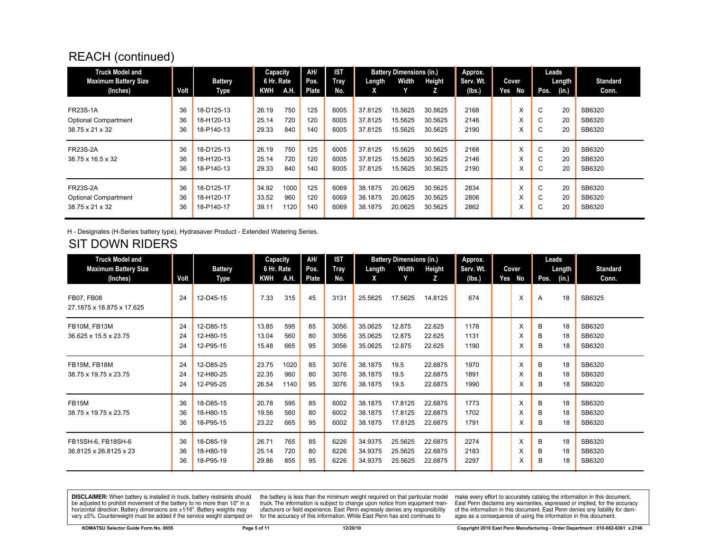### REACH (continued)

| <b>Truck Model and</b><br><b>Maximum Battery Size</b>             |                | <b>Battery</b>                         | Capacity<br>6 Hr. Rate  |                     | <b>AH</b><br>Pos. | <b>IST</b><br>Tray   | Length                        | <b>Battery Dimensions (in.)</b><br>Width | Height                        | Approx.<br>Serv. Wt. |     | Cover       | Leads                           | Length         | <b>Standard</b>            |
|-------------------------------------------------------------------|----------------|----------------------------------------|-------------------------|---------------------|-------------------|----------------------|-------------------------------|------------------------------------------|-------------------------------|----------------------|-----|-------------|---------------------------------|----------------|----------------------------|
| (Inches)                                                          | Volt           | Type                                   | <b>KWH</b>              | A.H.                | Plate             | No.                  | Χ                             |                                          | Z                             | (lbs.)               | Yes | No          | Pos.                            | (in.)          | Conn.                      |
| <b>FR23S-1A</b>                                                   | 36             | 18-D125-13                             | 26.19                   | 750                 | 125               | 6005                 | 37.8125                       | 15.5625                                  | 30.5625                       | 2168                 |     | X           | C                               | 20             | SB6320                     |
| <b>Optional Compartment</b><br>38.75 x 21 x 32                    | 36<br>36       | 18-H120-13<br>18-P140-13               | 25.14<br>29.33          | 720<br>840          | 120<br>140        | 6005<br>6005         | 37.8125<br>37.8125            | 15.5625<br>15.5625                       | 30.5625<br>30.5625            | 2146<br>2190         |     | v<br>X      | $\sim$<br>G<br>$\sim$<br>U      | 20<br>20       | SB6320<br>SB6320           |
| <b>FR23S-2A</b><br>38.75 x 16.5 x 32                              | 36<br>36<br>36 | 18-D125-13<br>18-H120-13<br>18-P140-13 | 26.19<br>25.14<br>29.33 | 750<br>720<br>840   | 125<br>120<br>140 | 6005<br>6005<br>6005 | 37.8125<br>37.8125<br>37.8125 | 15.5625<br>15.5625<br>15.5625            | 30.5625<br>30.5625<br>30.5625 | 2168<br>2146<br>2190 |     | X<br>v<br>X | C<br>$\sim$<br>◡<br>$\sim$<br>G | 20<br>20<br>20 | SB6320<br>SB6320<br>SB6320 |
| <b>FR23S-2A</b><br><b>Optional Compartment</b><br>38.75 x 21 x 32 | 36<br>36<br>36 | 18-D125-17<br>18-H120-17<br>18-P140-17 | 34.92<br>33.52<br>39.11 | 1000<br>960<br>1120 | 125<br>120<br>140 | 6069<br>6069<br>6069 | 38.1875<br>38.1875<br>38.1875 | 20.0625<br>20.0625<br>20.0625            | 30.5625<br>30.5625<br>30.5625 | 2834<br>2806<br>2862 |     | X<br>X<br>v | C<br>$\sim$<br>U<br>U           | 20<br>20<br>20 | SB6320<br>SB6320<br>SB6320 |

H - Designates (H-Series battery type), Hydrasaver Product - Extended Watering Series.

#### SIT DOWN RIDERS

| <b>Truck Model and</b>                         |      |                | Capacity   |      | AH/   | <b>IST</b>  |         | <b>Battery Dimensions (in.)</b> |         | Approx.   |        |      | Leads  |                 |
|------------------------------------------------|------|----------------|------------|------|-------|-------------|---------|---------------------------------|---------|-----------|--------|------|--------|-----------------|
| <b>Maximum Battery Size</b>                    |      | <b>Battery</b> | 6 Hr. Rate |      | Pos.  | <b>Tray</b> | Length  | Width                           | Height  | Serv. Wt. | Cover  |      | Length | <b>Standard</b> |
| (Inches)                                       | Volt | Type           | KWH        | A.H. | Plate | No.         | X       | Y                               | Z       | (lbs.)    | Yes No | Pos. | (in.)  | Conn.           |
| <b>FB07, FB08</b><br>27.1875 x 18.875 x 17.625 | 24   | 12-D45-15      | 7.33       | 315  | 45    | 3131        | 25.5625 | 17.5625                         | 14.8125 | 674       | X      | A    | 18     | SB6325          |
| FB10M, FB13M                                   | 24   | 12-D85-15      | 13.85      | 595  | 85    | 3056        | 35.0625 | 12.875                          | 22.625  | 1178      | X      | B    | 18     | SB6320          |
| 36.625 x 15.5 x 23.75                          | 24   | 12-H80-15      | 13.04      | 560  | 80    | 3056        | 35.0625 | 12.875                          | 22.625  | 1131      | X      | B    | 18     | SB6320          |
|                                                | 24   | 12-P95-15      | 15.48      | 665  | 95    | 3056        | 35.0625 | 12.875                          | 22.625  | 1190      | х      | В    | 18     | SB6320          |
| FB15M, FB18M                                   | 24   | 12-D85-25      | 23.75      | 1020 | 85    | 3076        | 38.1875 | 19.5                            | 22.6875 | 1970      | X      | B    | 18     | SB6320          |
| 38.75 x 19.75 x 23.75                          | 24   | 12-H80-25      | 22.35      | 960  | 80    | 3076        | 38.1875 | 19.5                            | 22.6875 | 1891      | X      | B    | 18     | SB6320          |
|                                                | 24   | 12-P95-25      | 26.54      | 1140 | 95    | 3076        | 38.1875 | 19.5                            | 22.6875 | 1990      | X      | В    | 18     | SB6320          |
| <b>FB15M</b>                                   | 36   | 18-D85-15      | 20.78      | 595  | 85    | 6002        | 38.1875 | 17.8125                         | 22.6875 | 1773      | X      | B    | 18     | SB6320          |
| 38.75 x 19.75 x 23.75                          | 36   | 18-H80-15      | 19.56      | 560  | 80    | 6002        | 38.1875 | 17.8125                         | 22.6875 | 1702      | X      | B    | 18     | SB6320          |
|                                                | 36   | 18-P95-15      | 23.22      | 665  | 95    | 6002        | 38.1875 | 17.8125                         | 22.6875 | 1791      | X      | В    | 18     | SB6320          |
| FB15SH-6, FB18SH-6                             | 36   | 18-D85-19      | 26.71      | 765  | 85    | 6226        | 34.9375 | 25.5625                         | 22.6875 | 2274      | X      | B    | 18     | SB6320          |
| 36.8125 x 26.8125 x 23                         | 36   | 18-H80-19      | 25.14      | 720  | 80    | 6226        | 34.9375 | 25.5625                         | 22.6875 | 2183      | X      | B    | 18     | SB6320          |
|                                                | 36   | 18-P95-19      | 29.86      | 855  | 95    | 6226        | 34.9375 | 25.5625                         | 22.6875 | 2297      | X      | B    | 18     | SB6320          |

**DISCLAIMER:** When battery is installed in truck, battery restraints should be adjusted to prohibit movement of the battery to no more than 1/2" in a be added in the behavior of the behavior of the behavior of the behavior of the behavior of the behavior of the behavior of the behavior of the service weight sharped on vary  $\pm$ 5%. Counterweight must be added if the ser

the battery is less than the minimum weight required on that particular model<br>truck. The information is subject to change upon notice from equipment manufacturers or field experience. East Penn expressly denies any responsibility for the accuracy of this information. While East Penn has and continues to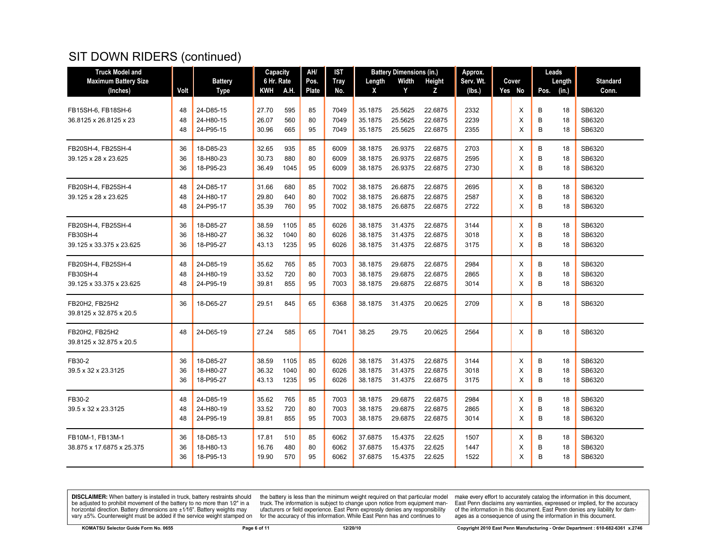| <b>Truck Model and</b>                                            |                |                                     | Capacity                |                      | AH/            | IST                  |                               | <b>Battery Dimensions (in.)</b> |                               | Approx.              |             | Leads                         |                            |
|-------------------------------------------------------------------|----------------|-------------------------------------|-------------------------|----------------------|----------------|----------------------|-------------------------------|---------------------------------|-------------------------------|----------------------|-------------|-------------------------------|----------------------------|
| <b>Maximum Battery Size</b>                                       |                | <b>Battery</b>                      | 6 Hr. Rate              |                      | Pos.           | <b>Tray</b>          | Length                        | Width                           | Height                        | Serv. Wt.            | Cover       | Length                        | <b>Standard</b>            |
| (Inches)                                                          | Volt           | <b>Type</b>                         | KWH                     | A.H.                 | <b>Plate</b>   | No.                  | X                             | Y                               | z                             | (lbs.)               | Yes No      | (in.)<br>Pos.                 | Conn.                      |
| FB15SH-6, FB18SH-6<br>36.8125 x 26.8125 x 23                      | 48<br>48<br>48 | 24-D85-15<br>24-H80-15<br>24-P95-15 | 27.70<br>26.07<br>30.96 | 595<br>560<br>665    | 85<br>80<br>95 | 7049<br>7049<br>7049 | 35.1875<br>35.1875<br>35.1875 | 25.5625<br>25.5625<br>25.5625   | 22.6875<br>22.6875<br>22.6875 | 2332<br>2239<br>2355 | х<br>X<br>X | В<br>18<br>B<br>18<br>B<br>18 | SB6320<br>SB6320<br>SB6320 |
| FB20SH-4, FB25SH-4<br>39.125 x 28 x 23.625                        | 36<br>36<br>36 | 18-D85-23<br>18-H80-23<br>18-P95-23 | 32.65<br>30.73<br>36.49 | 935<br>880<br>1045   | 85<br>80<br>95 | 6009<br>6009<br>6009 | 38.1875<br>38.1875<br>38.1875 | 26.9375<br>26.9375<br>26.9375   | 22.6875<br>22.6875<br>22.6875 | 2703<br>2595<br>2730 | X<br>Х<br>X | В<br>18<br>B<br>18<br>B<br>18 | SB6320<br>SB6320<br>SB6320 |
| FB20SH-4, FB25SH-4<br>39.125 x 28 x 23.625                        | 48<br>48<br>48 | 24-D85-17<br>24-H80-17<br>24-P95-17 | 31.66<br>29.80<br>35.39 | 680<br>640<br>760    | 85<br>80<br>95 | 7002<br>7002<br>7002 | 38.1875<br>38.1875<br>38.1875 | 26.6875<br>26.6875<br>26.6875   | 22.6875<br>22.6875<br>22.6875 | 2695<br>2587<br>2722 | X<br>X<br>X | B<br>18<br>B<br>18<br>B<br>18 | SB6320<br>SB6320<br>SB6320 |
| FB20SH-4, FB25SH-4<br><b>FB30SH-4</b><br>39.125 x 33.375 x 23.625 | 36<br>36<br>36 | 18-D85-27<br>18-H80-27<br>18-P95-27 | 38.59<br>36.32<br>43.13 | 1105<br>1040<br>1235 | 85<br>80<br>95 | 6026<br>6026<br>6026 | 38.1875<br>38.1875<br>38.1875 | 31.4375<br>31.4375<br>31.4375   | 22.6875<br>22.6875<br>22.6875 | 3144<br>3018<br>3175 | х<br>X<br>X | В<br>18<br>B<br>18<br>B<br>18 | SB6320<br>SB6320<br>SB6320 |
| FB20SH-4, FB25SH-4<br><b>FB30SH-4</b><br>39.125 x 33.375 x 23.625 | 48<br>48<br>48 | 24-D85-19<br>24-H80-19<br>24-P95-19 | 35.62<br>33.52<br>39.81 | 765<br>720<br>855    | 85<br>80<br>95 | 7003<br>7003<br>7003 | 38.1875<br>38.1875<br>38.1875 | 29.6875<br>29.6875<br>29.6875   | 22.6875<br>22.6875<br>22.6875 | 2984<br>2865<br>3014 | X<br>X<br>X | В<br>18<br>B<br>18<br>B<br>18 | SB6320<br>SB6320<br>SB6320 |
| FB20H2, FB25H2<br>39.8125 x 32.875 x 20.5                         | 36             | 18-D65-27                           | 29.51                   | 845                  | 65             | 6368                 | 38.1875                       | 31.4375                         | 20.0625                       | 2709                 | X           | B<br>18                       | SB6320                     |
| FB20H2, FB25H2<br>39.8125 x 32.875 x 20.5                         | 48             | 24-D65-19                           | 27.24                   | 585                  | 65             | 7041                 | 38.25                         | 29.75                           | 20.0625                       | 2564                 | X           | В<br>18                       | SB6320                     |
| FB30-2<br>39.5 x 32 x 23.3125                                     | 36<br>36<br>36 | 18-D85-27<br>18-H80-27<br>18-P95-27 | 38.59<br>36.32<br>43.13 | 1105<br>1040<br>1235 | 85<br>80<br>95 | 6026<br>6026<br>6026 | 38.1875<br>38.1875<br>38.1875 | 31.4375<br>31.4375<br>31.4375   | 22.6875<br>22.6875<br>22.6875 | 3144<br>3018<br>3175 | X<br>X<br>X | В<br>18<br>B<br>18<br>B<br>18 | SB6320<br>SB6320<br>SB6320 |
| FB30-2<br>39.5 x 32 x 23.3125                                     | 48<br>48<br>48 | 24-D85-19<br>24-H80-19<br>24-P95-19 | 35.62<br>33.52<br>39.81 | 765<br>720<br>855    | 85<br>80<br>95 | 7003<br>7003<br>7003 | 38.1875<br>38.1875<br>38.1875 | 29.6875<br>29.6875<br>29.6875   | 22.6875<br>22.6875<br>22.6875 | 2984<br>2865<br>3014 | Х<br>X<br>X | B<br>18<br>B<br>18<br>B<br>18 | SB6320<br>SB6320<br>SB6320 |
| FB10M-1, FB13M-1<br>38.875 x 17.6875 x 25.375                     | 36<br>36<br>36 | 18-D85-13<br>18-H80-13<br>18-P95-13 | 17.81<br>16.76<br>19.90 | 510<br>480<br>570    | 85<br>80<br>95 | 6062<br>6062<br>6062 | 37.6875<br>37.6875<br>37.6875 | 15.4375<br>15.4375<br>15.4375   | 22.625<br>22.625<br>22.625    | 1507<br>1447<br>1522 | Х<br>X<br>X | B<br>18<br>B<br>18<br>B<br>18 | SB6320<br>SB6320<br>SB6320 |

**DISCLAIMER:** When battery is installed in truck, battery restraints should be adjusted to prohibit movement of the battery to no more than  $1/2$ " in a horizontal direction. Battery dimensions are  $\pm 1/16$ ". Battery weig

the battery is less than the minimum weight required on that particular model<br>truck. The information is subject to change upon notice from equipment man-<br>ufacturers or field experience. East Penn expressly denies any respo for the accuracy of this information. While East Penn has and continues to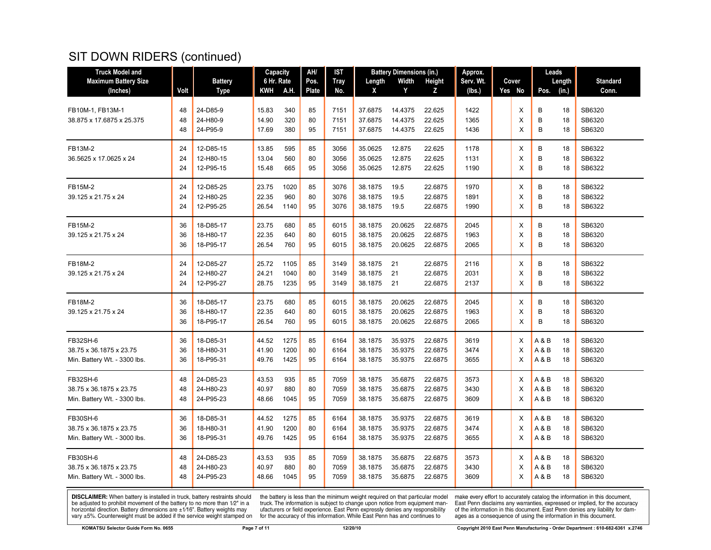| <b>Truck Model and</b>                                  |          |                        | <b>Capacity</b> |              | AH/      | <b>IST</b>   |                    | <b>Battery Dimensions (in.)</b> |                    | Approx.      |        | Leads                                      |          |                  |
|---------------------------------------------------------|----------|------------------------|-----------------|--------------|----------|--------------|--------------------|---------------------------------|--------------------|--------------|--------|--------------------------------------------|----------|------------------|
| <b>Maximum Battery Size</b>                             |          | <b>Battery</b>         | 6 Hr. Rate      |              | Pos.     | <b>Tray</b>  | Length             | Width                           | Height             | Serv. Wt.    | Cover  |                                            | Length   | <b>Standard</b>  |
| (Inches)                                                | Volt     | <b>Type</b>            | KWH             | A.H.         | Plate    | No.          | X                  | Y                               | Z                  | (lbs.)       | Yes No | Pos.                                       | (in.)    | Conn.            |
| FB10M-1, FB13M-1<br>38.875 x 17.6875 x 25.375           | 48<br>48 | 24-D85-9<br>24-H80-9   | 15.83<br>14.90  | 340<br>320   | 85<br>80 | 7151<br>7151 | 37.6875<br>37.6875 | 14.4375<br>14.4375              | 22.625<br>22.625   | 1422<br>1365 | Х<br>X | B<br>B                                     | 18<br>18 | SB6320<br>SB6320 |
|                                                         | 48       | 24-P95-9               | 17.69           | 380          | 95       | 7151         | 37.6875            | 14.4375                         | 22.625             | 1436         | X      | B                                          | 18       | SB6320           |
| FB13M-2                                                 | 24       | 12-D85-15              | 13.85           | 595          | 85       | 3056         | 35.0625            | 12.875                          | 22.625             | 1178         | X      | B                                          | 18       | SB6322           |
| 36.5625 x 17.0625 x 24                                  | 24<br>24 | 12-H80-15<br>12-P95-15 | 13.04<br>15.48  | 560<br>665   | 80<br>95 | 3056<br>3056 | 35.0625<br>35.0625 | 12.875<br>12.875                | 22.625<br>22.625   | 1131<br>1190 | X<br>X | B<br>B                                     | 18<br>18 | SB6322<br>SB6322 |
| <b>FB15M-2</b>                                          | 24       | 12-D85-25              | 23.75           | 1020         | 85       | 3076         | 38.1875            | 19.5                            | 22.6875            | 1970         | X      | B                                          | 18       | SB6322           |
| 39.125 x 21.75 x 24                                     | 24<br>24 | 12-H80-25<br>12-P95-25 | 22.35<br>26.54  | 960<br>1140  | 80<br>95 | 3076<br>3076 | 38.1875<br>38.1875 | 19.5<br>19.5                    | 22.6875<br>22.6875 | 1891<br>1990 | X<br>X | B<br>B                                     | 18<br>18 | SB6322<br>SB6322 |
| FB15M-2                                                 | 36       | 18-D85-17              | 23.75           | 680          | 85       | 6015         | 38.1875            | 20.0625                         | 22.6875            | 2045         | Х      | B                                          | 18       | SB6320           |
| 39.125 x 21.75 x 24                                     | 36<br>36 | 18-H80-17<br>18-P95-17 | 22.35<br>26.54  | 640<br>760   | 80<br>95 | 6015<br>6015 | 38.1875<br>38.1875 | 20.0625<br>20.0625              | 22.6875<br>22.6875 | 1963<br>2065 | X<br>X | B<br>B                                     | 18<br>18 | SB6320<br>SB6320 |
| FB18M-2                                                 | 24       | 12-D85-27              | 25.72           | 1105         | 85       | 3149         | 38.1875            | 21                              | 22.6875            | 2116         | X      | В                                          | 18       | SB6322           |
| 39.125 x 21.75 x 24                                     | 24<br>24 | 12-H80-27<br>12-P95-27 | 24.21<br>28.75  | 1040<br>1235 | 80<br>95 | 3149<br>3149 | 38.1875<br>38.1875 | 21<br>21                        | 22.6875<br>22.6875 | 2031<br>2137 | X<br>X | B<br>B                                     | 18<br>18 | SB6322<br>SB6322 |
| FB18M-2                                                 | 36       | 18-D85-17              | 23.75           | 680          | 85       | 6015         | 38.1875            | 20.0625                         | 22.6875            | 2045         | Х      | B                                          | 18       | SB6320           |
| 39.125 x 21.75 x 24                                     | 36<br>36 | 18-H80-17<br>18-P95-17 | 22.35<br>26.54  | 640<br>760   | 80<br>95 | 6015<br>6015 | 38.1875<br>38.1875 | 20.0625<br>20.0625              | 22.6875<br>22.6875 | 1963<br>2065 | X<br>X | B<br>B                                     | 18<br>18 | SB6320<br>SB6320 |
| FB32SH-6                                                | 36       | 18-D85-31              | 44.52           | 1275         | 85       | 6164         | 38.1875            | 35.9375                         | 22.6875            | 3619         | Х      | A & B                                      | 18       | SB6320           |
| 38.75 x 36.1875 x 23.75<br>Min. Battery Wt. - 3300 lbs. | 36<br>36 | 18-H80-31<br>18-P95-31 | 41.90<br>49.76  | 1200<br>1425 | 80<br>95 | 6164<br>6164 | 38.1875<br>38.1875 | 35.9375<br>35.9375              | 22.6875<br>22.6875 | 3474<br>3655 | X<br>X | A & B<br>$\mathsf A\mathbin{\&} \mathsf B$ | 18<br>18 | SB6320<br>SB6320 |
| FB32SH-6                                                | 48       | 24-D85-23              | 43.53           | 935          | 85       | 7059         | 38.1875            | 35.6875                         | 22.6875            | 3573         | X      | A & B                                      | 18       | SB6320           |
| 38.75 x 36.1875 x 23.75<br>Min. Battery Wt. - 3300 lbs. | 48<br>48 | 24-H80-23<br>24-P95-23 | 40.97<br>48.66  | 880<br>1045  | 80<br>95 | 7059<br>7059 | 38.1875<br>38.1875 | 35.6875<br>35.6875              | 22.6875<br>22.6875 | 3430<br>3609 | X<br>X | A & B<br>A & B                             | 18<br>18 | SB6320<br>SB6320 |
| <b>FB30SH-6</b>                                         | 36       | 18-D85-31              | 44.52           | 1275         | 85       | 6164         | 38.1875            | 35.9375                         | 22.6875            | 3619         | Х      | A & B                                      | 18       | SB6320           |
| 38.75 x 36.1875 x 23.75<br>Min. Battery Wt. - 3000 lbs. | 36<br>36 | 18-H80-31<br>18-P95-31 | 41.90<br>49.76  | 1200<br>1425 | 80<br>95 | 6164<br>6164 | 38.1875<br>38.1875 | 35.9375<br>35.9375              | 22.6875<br>22.6875 | 3474<br>3655 | X<br>X | A & B<br>A&B                               | 18<br>18 | SB6320<br>SB6320 |
| FB30SH-6                                                | 48       | 24-D85-23              | 43.53           | 935          | 85       | 7059         | 38.1875            | 35.6875                         | 22.6875            | 3573         | Х      | A & B                                      | 18       | SB6320           |
| 38.75 x 36.1875 x 23.75<br>Min. Battery Wt. - 3000 lbs. | 48<br>48 | 24-H80-23<br>24-P95-23 | 40.97<br>48.66  | 880<br>1045  | 80<br>95 | 7059<br>7059 | 38.1875<br>38.1875 | 35.6875<br>35.6875              | 22.6875<br>22.6875 | 3430<br>3609 | X<br>X | A & B<br>A & B                             | 18<br>18 | SB6320<br>SB6320 |

**DISCLAIMER:** When battery is installed in truck, battery restraints should be adjusted to prohibit movement of the battery to no more than  $12^v$  in a horizontal direction. Battery dimensions are  $\pm 1/16^v$ . Battery wei

the battery is less than the minimum weight required on that particular model<br>truck. The information is subject to change upon notice from equipment man-<br>ufacturers or field experience. East Penn expressly denies any respo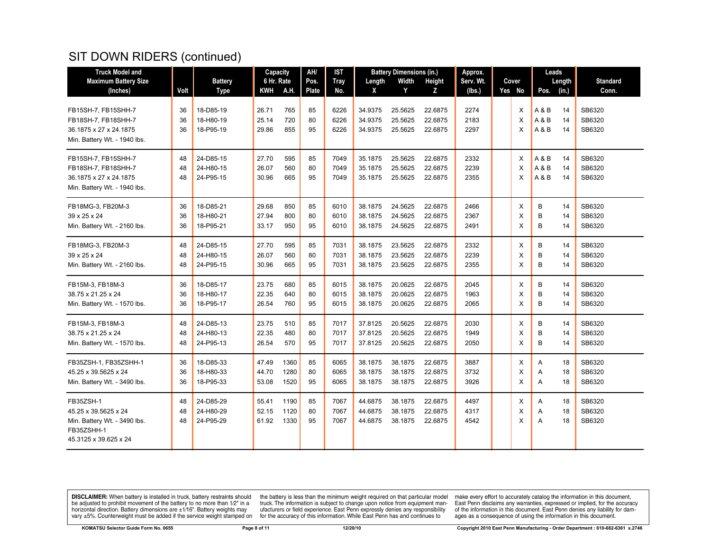| <b>Truck Model and</b>                 |      |                | Capacity       |             | AH/          | <b>IST</b>   |                    | <b>Battery Dimensions (in.)</b> |                    | Approx.      |        | Leads  |          |                 |
|----------------------------------------|------|----------------|----------------|-------------|--------------|--------------|--------------------|---------------------------------|--------------------|--------------|--------|--------|----------|-----------------|
| <b>Maximum Battery Size</b>            |      | <b>Battery</b> | 6 Hr. Rate     |             | Pos.         | <b>Tray</b>  | Length             | Width                           | Height             | Serv. Wt.    | Cover  |        | Length   | <b>Standard</b> |
| (Inches)                               | Volt | <b>Type</b>    | KWH            | <b>A.H.</b> | <b>Plate</b> | No.          | X                  | Y                               | Z                  | (lbs.)       | Yes No | Pos.   | (in.)    | Conn.           |
|                                        |      |                |                |             |              |              |                    |                                 |                    |              |        |        |          |                 |
| FB15SH-7, FB15SHH-7                    | 36   | 18-D85-19      | 26.71          | 765         | 85           | 6226         | 34.9375            | 25.5625                         | 22.6875            | 2274         | X      | A & B  | 14       | SB6320          |
| FB18SH-7, FB18SHH-7                    | 36   | 18-H80-19      | 25.14          | 720         | 80           | 6226         | 34.9375            | 25.5625                         | 22.6875            | 2183         | X      | A & B  | 14       | SB6320          |
| 36.1875 x 27 x 24.1875                 | 36   | 18-P95-19      | 29.86          | 855         | 95           | 6226         | 34.9375            | 25.5625                         | 22.6875            | 2297         | X      | A & B  | 14       | SB6320          |
| Min. Battery Wt. - 1940 lbs.           |      |                |                |             |              |              |                    |                                 |                    |              |        |        |          |                 |
| FB15SH-7, FB15SHH-7                    | 48   | 24-D85-15      | 27.70          | 595         | 85           | 7049         | 35.1875            | 25.5625                         | 22.6875            | 2332         | X      | A & B  | 14       | SB6320          |
| FB18SH-7, FB18SHH-7                    | 48   | 24-H80-15      | 26.07          | 560         | 80           | 7049         | 35.1875            | 25.5625                         | 22.6875            | 2239         | X      | A & B  | 14       | SB6320          |
| 36.1875 x 27 x 24.1875                 | 48   | 24-P95-15      | 30.96          | 665         | 95           | 7049         | 35.1875            | 25.5625                         | 22.6875            | 2355         | X      | A & B  | 14       | SB6320          |
| Min. Battery Wt. - 1940 lbs.           |      |                |                |             |              |              |                    |                                 |                    |              |        |        |          |                 |
| FB18MG-3, FB20M-3                      | 36   | 18-D85-21      | 29.68          | 850         | 85           | 6010         | 38.1875            | 24.5625                         | 22.6875            | 2466         | X      | B      | 14       | SB6320          |
| 39 x 25 x 24                           | 36   | 18-H80-21      | 27.94          | 800         | 80           |              | 38.1875            | 24.5625                         | 22.6875            | 2367         | X      | B      | 14       | SB6320          |
|                                        | 36   | 18-P95-21      |                | 950         | 95           | 6010<br>6010 |                    | 24.5625                         | 22.6875            | 2491         | X      | B      | 14       | SB6320          |
| Min. Battery Wt. - 2160 lbs.           |      |                | 33.17          |             |              |              | 38.1875            |                                 |                    |              |        |        |          |                 |
| FB18MG-3, FB20M-3                      | 48   | 24-D85-15      | 27.70          | 595         | 85           | 7031         | 38.1875            | 23.5625                         | 22.6875            | 2332         | X      | B      | 14       | SB6320          |
| 39 x 25 x 24                           | 48   | 24-H80-15      | 26.07          | 560         | 80           | 7031         | 38.1875            | 23.5625                         | 22.6875            | 2239         | X      | B      | 14       | SB6320          |
| Min. Battery Wt. - 2160 lbs.           | 48   | 24-P95-15      | 30.96          | 665         | 95           | 7031         | 38.1875            | 23.5625                         | 22.6875            | 2355         | X      | B      | 14       | SB6320          |
| FB15M-3, FB18M-3                       | 36   | 18-D85-17      | 23.75          | 680         | 85           | 6015         | 38.1875            | 20.0625                         | 22.6875            | 2045         | X      | B      | 14       | SB6320          |
| 38.75 x 21.25 x 24                     | 36   | 18-H80-17      | 22.35          | 640         | 80           | 6015         | 38.1875            | 20.0625                         | 22.6875            | 1963         | X      | B      | 14       | SB6320          |
| Min. Battery Wt. - 1570 lbs.           | 36   | 18-P95-17      | 26.54          | 760         | 95           | 6015         | 38.1875            | 20.0625                         | 22.6875            | 2065         | X      | B      | 14       | SB6320          |
|                                        |      | 24-D85-13      |                |             |              | 7017         |                    |                                 |                    |              |        |        |          | SB6320          |
| FB15M-3, FB18M-3<br>38.75 x 21.25 x 24 | 48   |                | 23.75<br>22.35 | 510<br>480  | 85<br>80     | 7017         | 37.8125<br>37.8125 | 20.5625<br>20.5625              | 22.6875<br>22.6875 | 2030<br>1949 | X<br>X | B<br>B | 14<br>14 | SB6320          |
|                                        | 48   | 24-H80-13      |                |             |              |              |                    |                                 |                    |              |        |        |          |                 |
| Min. Battery Wt. - 1570 lbs.           | 48   | 24-P95-13      | 26.54          | 570         | 95           | 7017         | 37.8125            | 20.5625                         | 22.6875            | 2050         | X      | B      | 14       | SB6320          |
| FB35ZSH-1, FB35ZSHH-1                  | 36   | 18-D85-33      | 47.49          | 1360        | 85           | 6065         | 38.1875            | 38.1875                         | 22.6875            | 3887         | X      | Α      | 18       | SB6320          |
| 45.25 x 39.5625 x 24                   | 36   | 18-H80-33      | 44.70          | 1280        | 80           | 6065         | 38.1875            | 38.1875                         | 22.6875            | 3732         | X      | A      | 18       | SB6320          |
| Min. Battery Wt. - 3490 lbs.           | 36   | 18-P95-33      | 53.08          | 1520        | 95           | 6065         | 38.1875            | 38.1875                         | 22.6875            | 3926         | X      | A      | 18       | SB6320          |
| FB35ZSH-1                              | 48   | 24-D85-29      | 55.41          | 1190        | 85           | 7067         | 44.6875            | 38.1875                         | 22.6875            | 4497         | X      | Α      | 18       | SB6320          |
| 45.25 x 39.5625 x 24                   | 48   | 24-H80-29      | 52.15          | 1120        | 80           | 7067         | 44.6875            | 38.1875                         | 22.6875            | 4317         | X      | Α      | 18       | SB6320          |
| Min. Battery Wt. - 3490 lbs.           | 48   | 24-P95-29      | 61.92          | 1330        | 95           | 7067         | 44.6875            | 38.1875                         | 22.6875            | 4542         | X      | A      | 18       | SB6320          |
| FB35ZSHH-1                             |      |                |                |             |              |              |                    |                                 |                    |              |        |        |          |                 |
| 45.3125 x 39.625 x 24                  |      |                |                |             |              |              |                    |                                 |                    |              |        |        |          |                 |
|                                        |      |                |                |             |              |              |                    |                                 |                    |              |        |        |          |                 |

**DISCLAIMER:** When battery is installed in truck, battery restraints should be adjusted to prohibit movement of the battery to no more than  $1/2$ " in a horizontal direction. Battery dimensions are  $\pm 1/16$ ". Battery weig

the battery is less than the minimum weight required on that particular model<br>truck. The information is subject to change upon notice from equipment man-<br>ufacturers or field experience. East Penn expressly denies any respo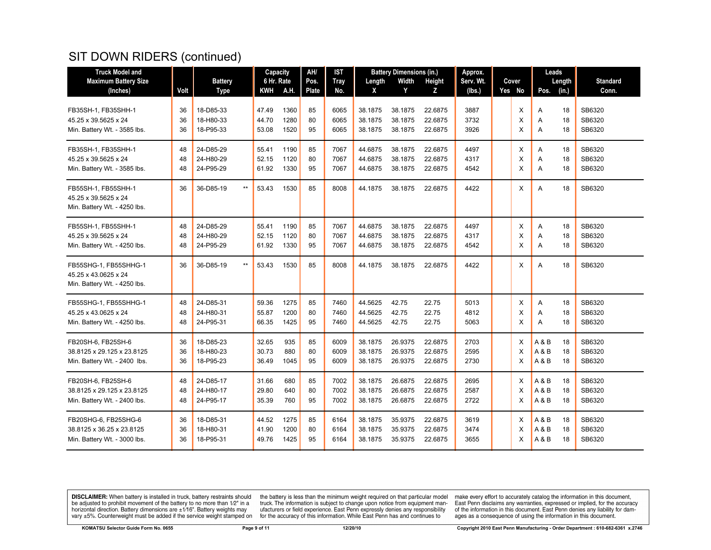| <b>Truck Model and</b>       |      |                              |            | Capacity   | AH/          | IST         |         | <b>Battery Dimensions (in.)</b> |         | Approx.   |        | Leads |        |                 |
|------------------------------|------|------------------------------|------------|------------|--------------|-------------|---------|---------------------------------|---------|-----------|--------|-------|--------|-----------------|
| <b>Maximum Battery Size</b>  |      | <b>Battery</b>               |            | 6 Hr. Rate | Pos.         | <b>Tray</b> | Length  | Width                           | Height  | Serv. Wt. | Cover  |       | Length | <b>Standard</b> |
| (Inches)                     | Volt | <b>Type</b>                  | <b>KWH</b> | A.H.       | <b>Plate</b> | No.         | X       | Y                               | z       | (lbs.)    | Yes No | Pos.  | (in.)  | Conn.           |
| FB35SH-1. FB35SHH-1          | 36   | 18-D85-33                    | 47.49      | 1360       | 85           | 6065        | 38.1875 | 38.1875                         | 22.6875 | 3887      | X      | A     | 18     | SB6320          |
| 45.25 x 39.5625 x 24         | 36   | 18-H80-33                    | 44.70      | 1280       | 80           | 6065        | 38.1875 | 38.1875                         | 22.6875 | 3732      | X      | A     | 18     | SB6320          |
| Min. Battery Wt. - 3585 lbs. | 36   | 18-P95-33                    | 53.08      | 1520       | 95           | 6065        | 38.1875 | 38.1875                         | 22.6875 | 3926      | X      | Α     | 18     | SB6320          |
| FB35SH-1, FB35SHH-1          | 48   | 24-D85-29                    | 55.41      | 1190       | 85           | 7067        | 44.6875 | 38.1875                         | 22.6875 | 4497      | X      | A     | 18     | SB6320          |
| 45.25 x 39.5625 x 24         | 48   | 24-H80-29                    | 52.15      | 1120       | 80           | 7067        | 44.6875 | 38.1875                         | 22.6875 | 4317      | X      | A     | 18     | SB6320          |
| Min. Battery Wt. - 3585 lbs. | 48   | 24-P95-29                    | 61.92      | 1330       | 95           | 7067        | 44.6875 | 38.1875                         | 22.6875 | 4542      | X      | A     | 18     | SB6320          |
| FB55SH-1, FB55SHH-1          | 36   | 36-D85-19<br>$^{\star\star}$ | 53.43      | 1530       | 85           | 8008        | 44.1875 | 38.1875                         | 22.6875 | 4422      | X      | A     | 18     | SB6320          |
| 45.25 x 39.5625 x 24         |      |                              |            |            |              |             |         |                                 |         |           |        |       |        |                 |
| Min. Battery Wt. - 4250 lbs. |      |                              |            |            |              |             |         |                                 |         |           |        |       |        |                 |
| FB55SH-1, FB55SHH-1          | 48   | 24-D85-29                    | 55.41      | 1190       | 85           | 7067        | 44.6875 | 38.1875                         | 22.6875 | 4497      | X      | Α     | 18     | SB6320          |
| 45.25 x 39.5625 x 24         | 48   | 24-H80-29                    | 52.15      | 1120       | 80           | 7067        | 44.6875 | 38.1875                         | 22.6875 | 4317      | X      | Α     | 18     | SB6320          |
| Min. Battery Wt. - 4250 lbs. | 48   | 24-P95-29                    | 61.92      | 1330       | 95           | 7067        | 44.6875 | 38.1875                         | 22.6875 | 4542      | X      | A     | 18     | SB6320          |
| FB55SHG-1, FB55SHHG-1        | 36   | 36-D85-19<br>$\star\star$    | 53.43      | 1530       | 85           | 8008        | 44.1875 | 38.1875                         | 22.6875 | 4422      | X      | A     | 18     | SB6320          |
| 45.25 x 43.0625 x 24         |      |                              |            |            |              |             |         |                                 |         |           |        |       |        |                 |
| Min. Battery Wt. - 4250 lbs. |      |                              |            |            |              |             |         |                                 |         |           |        |       |        |                 |
| FB55SHG-1, FB55SHHG-1        | 48   | 24-D85-31                    | 59.36      | 1275       | 85           | 7460        | 44.5625 | 42.75                           | 22.75   | 5013      | Х      | Α     | 18     | SB6320          |
| 45.25 x 43.0625 x 24         | 48   | 24-H80-31                    | 55.87      | 1200       | 80           | 7460        | 44.5625 | 42.75                           | 22.75   | 4812      | X      | Α     | 18     | SB6320          |
| Min. Battery Wt. - 4250 lbs. | 48   | 24-P95-31                    | 66.35      | 1425       | 95           | 7460        | 44.5625 | 42.75                           | 22.75   | 5063      | X      | A     | 18     | SB6320          |
| FB20SH-6, FB25SH-6           | 36   | 18-D85-23                    | 32.65      | 935        | 85           | 6009        | 38.1875 | 26.9375                         | 22.6875 | 2703      | X      | A & B | 18     | SB6320          |
| 38.8125 x 29.125 x 23.8125   | 36   | 18-H80-23                    | 30.73      | 880        | 80           | 6009        | 38.1875 | 26.9375                         | 22.6875 | 2595      | X      | A & B | 18     | SB6320          |
| Min. Battery Wt. - 2400 lbs. | 36   | 18-P95-23                    | 36.49      | 1045       | 95           | 6009        | 38.1875 | 26.9375                         | 22.6875 | 2730      | X      | A&B   | 18     | SB6320          |
| FB20SH-6, FB25SH-6           | 48   | 24-D85-17                    | 31.66      | 680        | 85           | 7002        | 38.1875 | 26.6875                         | 22.6875 | 2695      | X      | A & B | 18     | SB6320          |
| 38.8125 x 29.125 x 23.8125   | 48   | 24-H80-17                    | 29.80      | 640        | 80           | 7002        | 38.1875 | 26.6875                         | 22.6875 | 2587      | X      | A & B | 18     | SB6320          |
| Min. Battery Wt. - 2400 lbs. | 48   | 24-P95-17                    | 35.39      | 760        | 95           | 7002        | 38.1875 | 26.6875                         | 22.6875 | 2722      | X      | A & B | 18     | SB6320          |
| FB20SHG-6, FB25SHG-6         | 36   | 18-D85-31                    | 44.52      | 1275       | 85           | 6164        | 38.1875 | 35.9375                         | 22.6875 | 3619      | X      | A & B | 18     | SB6320          |
| 38.8125 x 36.25 x 23.8125    | 36   | 18-H80-31                    | 41.90      | 1200       | 80           | 6164        | 38.1875 | 35.9375                         | 22.6875 | 3474      | X      | A & B | 18     | SB6320          |
| Min. Battery Wt. - 3000 lbs. | 36   | 18-P95-31                    | 49.76      | 1425       | 95           | 6164        | 38.1875 | 35.9375                         | 22.6875 | 3655      | X      | A & B | 18     | SB6320          |

**DISCLAIMER:** When battery is installed in truck, battery restraints should be adjusted to prohibit movement of the battery to no more than  $1/2$ " in a horizontal direction. Battery dimensions are  $\pm 1/16$ ". Battery weig

the battery is less than the minimum weight required on that particular model<br>truck. The information is subject to change upon notice from equipment man-<br>ufacturers or field experience. East Penn expressly denies any respo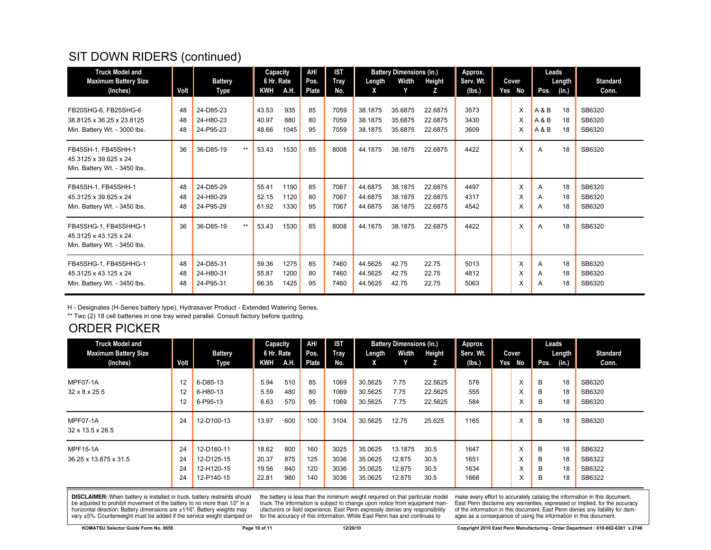| <b>Truck Model and</b>                                                         |                |                                     |      | Capacity                |                      | AH/            | <b>IST</b>           |                               | <b>Battery Dimensions (in.)</b> |                               | Approx.              |             | Leads       |                |                            |
|--------------------------------------------------------------------------------|----------------|-------------------------------------|------|-------------------------|----------------------|----------------|----------------------|-------------------------------|---------------------------------|-------------------------------|----------------------|-------------|-------------|----------------|----------------------------|
| <b>Maximum Battery Size</b>                                                    |                | <b>Battery</b>                      |      | 6 Hr. Rate              |                      | Pos.           | Tray                 | Length                        | Width                           | Height                        | Serv. Wt.            | Cover       |             | Length         | <b>Standard</b>            |
| (Inches)                                                                       | Volt           | Type                                |      | KWH                     | A.H.                 | Plate          | No.                  | X.                            | Y                               | z                             | (Ibs.)               | Yes No      | Pos.        | (in.)          | Conn.                      |
| FB20SHG-6, FB25SHG-6                                                           | 48             | 24-D85-23                           |      | 43.53                   | 935                  | 85             | 7059                 | 38.1875                       | 35.6875                         | 22.6875                       | 3573                 | X           | A & B       | 18             | SB6320                     |
| 38.8125 x 36.25 x 23.8125                                                      | 48             | 24-H80-23                           |      | 40.97                   | 880                  | 80             | 7059                 | 38.1875                       | 35.6875                         | 22.6875                       | 3430                 | X           | A&B         | 18             | SB6320                     |
| Min. Battery Wt. - 3000 lbs.                                                   | 48             | 24-P95-23                           |      | 48.66                   | 1045                 | 95             | 7059                 | 38.1875                       | 35.6875                         | 22.6875                       | 3609                 | X           | A&B         | 18             | SB6320                     |
| FB45SH-1, FB45SHH-1<br>45.3125 x 39.625 x 24<br>Min. Battery Wt. - 3450 lbs.   | 36             | 36-D85-19                           | $**$ | 53.43                   | 1530                 | 85             | 8008                 | 44.1875                       | 38.1875                         | 22.6875                       | 4422                 | X           | A           | 18             | SB6320                     |
| FB45SH-1, FB45SHH-1<br>45.3125 x 39.625 x 24<br>Min. Battery Wt. - 3450 lbs.   | 48<br>48<br>48 | 24-D85-29<br>24-H80-29<br>24-P95-29 |      | 55.41<br>52.15<br>61.92 | 1190<br>1120<br>1330 | 85<br>80<br>95 | 7067<br>7067<br>7067 | 44.6875<br>44.6875<br>44.6875 | 38.1875<br>38.1875<br>38.1875   | 22.6875<br>22.6875<br>22.6875 | 4497<br>4317<br>4542 | X<br>X<br>X | A<br>A<br>A | 18<br>18<br>18 | SB6320<br>SB6320<br>SB6320 |
| FB45SHG-1. FB45SHHG-1<br>45.3125 x 43.125 x 24<br>Min. Battery Wt. - 3450 lbs. | 36             | 36-D85-19                           | $**$ | 53.43                   | 1530                 | 85             | 8008                 | 44.1875                       | 38.1875                         | 22.6875                       | 4422                 | X           | A           | 18             | SB6320                     |
| FB45SHG-1, FB45SHHG-1<br>45.3125 x 43.125 x 24<br>Min. Battery Wt. - 3450 lbs. | 48<br>48<br>48 | 24-D85-31<br>24-H80-31<br>24-P95-31 |      | 59.36<br>55.87<br>66.35 | 1275<br>1200<br>1425 | 85<br>80<br>95 | 7460<br>7460<br>7460 | 44.5625<br>44.5625<br>44.5625 | 42.75<br>42.75<br>42.75         | 22.75<br>22.75<br>22.75       | 5013<br>4812<br>5063 | X<br>X<br>X | A<br>A<br>A | 18<br>18<br>18 | SB6320<br>SB6320<br>SB6320 |

H - Designates (H-Series battery type), Hydrasaver Product - Extended Watering Series.

\*\* Twc (2) 18 cell batteries in one tray wired parallel. Consult factory before quoting.

# ORDER PICKER

| <b>Truck Model and</b>       |      |                | Capacity   |      | AH/          | <b>IST</b> | <b>Battery Dimensions (in.)</b> |         | Approx. |           |       | Leads |        |       |                 |
|------------------------------|------|----------------|------------|------|--------------|------------|---------------------------------|---------|---------|-----------|-------|-------|--------|-------|-----------------|
| <b>Maximum Battery Size</b>  |      | <b>Battery</b> | 6 Hr. Rate |      | Pos.         | Tray       | Length                          | Width   | Height  | Serv. Wt. | Cover |       | Length |       | <b>Standard</b> |
| (Inches)                     | Volt | Type           | KWH        | A.H. | <b>Plate</b> | No.        | X.                              |         | z       | (Ibs.)    | Yes   | No    | Pos.   | (in.) | Conn.           |
|                              |      |                |            |      |              |            |                                 |         |         |           |       |       |        |       |                 |
| MPF07-1A                     | 12   | 6-D85-13       | 5.94       | 510  | 85           | 1069       | 30.5625                         | 7.75    | 22.5625 | 578       |       | X     | B      | 18    | SB6320          |
| 32 x 8 x 25.5                | 12   | 6-H80-13       | 5.59       | 480  | 80           | 1069       | 30.5625                         | 7.75    | 22.5625 | 555       |       | v     | B      | 18    | SB6320          |
|                              | 12   | 6-P95-13       | 6.63       | 570  | 95           | 1069       | 30.5625                         | 7.75    | 22.5625 | 584       |       | Χ     | в      | 18    | SB6320          |
| MPF07-1A<br>32 x 13.5 x 26.5 | 24   | 12-D100-13     | 13.97      | 600  | 100          | 3104       | 30.5625                         | 12.75   | 25.625  | 1165      |       | X     | B      | 18    | SB6320          |
| <b>MPF15-1A</b>              | 24   | 12-D160-11     | 18.62      | 800  | 160          | 3025       | 35.0625                         | 13.1875 | 30.5    | 1647      |       | X     | B      | 18    | SB6322          |
| 36.25 x 13.875 x 31.5        | 24   | 12-D125-15     | 20.37      | 875  | 125          | 3036       | 35.0625                         | 12.875  | 30.5    | 1651      |       | ㅅ     | B      | 18    | SB6322          |
|                              | 24   | 12-H120-15     | 19.56      | 840  | 120          | 3036       | 35.0625                         | 12.875  | 30.5    | 1634      |       | x     | В      | 18    | SB6322          |
|                              | 24   | 12-P140-15     | 22.81      | 980  | 140          | 3036       | 35.0625                         | 12.875  | 30.5    | 1668      |       | ⋏     | в      | 18    | SB6322          |

**DISCLAIMER:** When battery is installed in truck, battery restraints should be adjusted to prohibit movement of the battery to no more than  $1/2$ " in a horizontal direction. Battery dimensions are  $\pm 1/16$ ". Battery weig

the battery is less than the minimum weight required on that particular model<br>truck. The information is subject to change upon notice from equipment manufacturers or field experience. East Penn expressly denies any responsibility for the accuracy of this information. While East Penn has and continues to